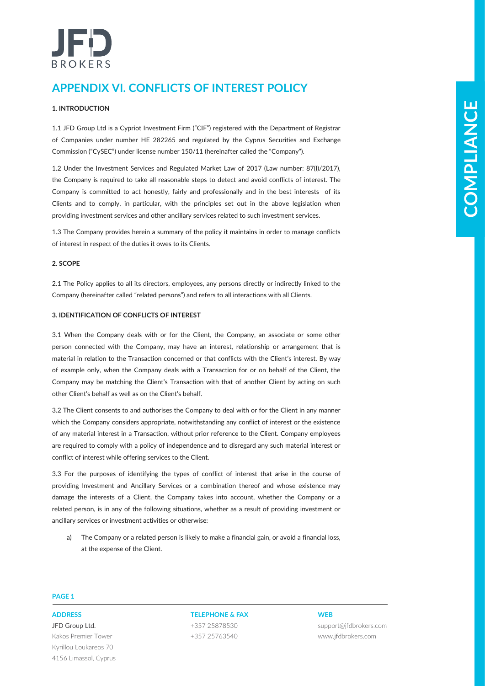# BROKERS

# **APPENDIX VI. CONFLICTS OF INTEREST POLICY**

# **1. INTRODUCTION**

1.1 JFD Group Ltd is a Cypriot Investment Firm ("CIF") registered with the Department of Registrar of Companies under number HE 282265 and regulated by the Cyprus Securities and Exchange Commission ("CySEC") under license number 150/11 (hereinafter called the "Company").

1.2 Under the Investment Services and Regulated Market Law of 2017 (Law number: 87(I)/2017), the Company is required to take all reasonable steps to detect and avoid conflicts of interest. The Company is committed to act honestly, fairly and professionally and in the best interests of its Clients and to comply, in particular, with the principles set out in the above legislation when providing investment services and other ancillary services related to such investment services.

1.3 The Company provides herein a summary of the policy it maintains in order to manage conflicts of interest in respect of the duties it owes to its Clients.

# **2. SCOPE**

2.1 The Policy applies to all its directors, employees, any persons directly or indirectly linked to the Company (hereinafter called "related persons") and refers to all interactions with all Clients.

# **3. IDENTIFICATION OF CONFLICTS OF INTEREST**

**Let through Control is used to the control in the set of the set of the set of the set of the set of the set of the set of the set of the set of the set of the set of the set of the set of the set of the set of the set of** 3.1 When the Company deals with or for the Client, the Company, an associate or some other person connected with the Company, may have an interest, relationship or arrangement that is material in relation to the Transaction concerned or that conflicts with the Client's interest. By way of example only, when the Company deals with a Transaction for or on behalf of the Client, the Company may be matching the Client's Transaction with that of another Client by acting on such other Client's behalf as well as on the Client's behalf.

3.2 The Client consents to and authorises the Company to deal with or for the Client in any manner which the Company considers appropriate, notwithstanding any conflict of interest or the existence of any material interest in a Transaction, without prior reference to the Client. Company employees are required to comply with a policy of independence and to disregard any such material interest or conflict of interest while offering services to the Client.

3.3 For the purposes of identifying the types of conflict of interest that arise in the course of providing Investment and Ancillary Services or a combination thereof and whose existence may damage the interests of a Client, the Company takes into account, whether the Company or a related person, is in any of the following situations, whether as a result of providing investment or ancillary services or investment activities or otherwise:

a) The Company or a related person is likely to make a financial gain, or avoid a financial loss, at the expense of the Client.

## **PAGE 1**

JFD Group Ltd. Kakos Premier Tower Kyrillou Loukareos 70 4156 Limassol, Cyprus

**ADDRESS TELEPHONE & FAX WEB** +357 25878530 +357 25763540

support@jfdbrokers.com www.jfdbrokers.com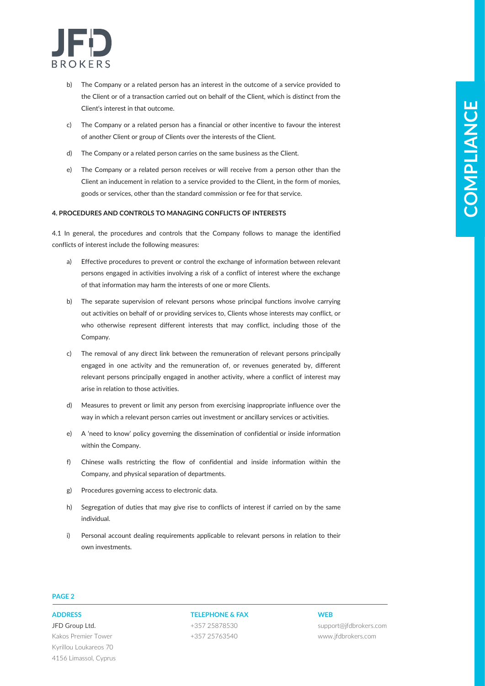

- b) The Company or a related person has an interest in the outcome of a service provided to the Client or of a transaction carried out on behalf of the Client, which is distinct from the Client's interest in that outcome.
- c) The Company or a related person has a financial or other incentive to favour the interest of another Client or group of Clients over the interests of the Client.
- d) The Company or a related person carries on the same business as the Client.
- e) The Company or a related person receives or will receive from a person other than the Client an inducement in relation to a service provided to the Client, in the form of monies, goods or services, other than the standard commission or fee for that service.

### **4. PROCEDURES AND CONTROLS TO MANAGING CONFLICTS OF INTERESTS**

4.1 In general, the procedures and controls that the Company follows to manage the identified conflicts of interest include the following measures:

- a) Effective procedures to prevent or control the exchange of information between relevant persons engaged in activities involving a risk of a conflict of interest where the exchange of that information may harm the interests of one or more Clients.
- **CHockers these depends on the state of the state of the state of the state of the state of the state of the state of the state of the state of the state of the state of the state of the state of the state of the state of** b) The separate supervision of relevant persons whose principal functions involve carrying out activities on behalf of or providing services to, Clients whose interests may conflict, or who otherwise represent different interests that may conflict, including those of the Company.
	- c) The removal of any direct link between the remuneration of relevant persons principally engaged in one activity and the remuneration of, or revenues generated by, different relevant persons principally engaged in another activity, where a conflict of interest may arise in relation to those activities.
	- d) Measures to prevent or limit any person from exercising inappropriate influence over the way in which a relevant person carries out investment or ancillary services or activities.
	- e) A 'need to know' policy governing the dissemination of confidential or inside information within the Company.
	- f) Chinese walls restricting the flow of confidential and inside information within the Company, and physical separation of departments.
	- g) Procedures governing access to electronic data.
	- h) Segregation of duties that may give rise to conflicts of interest if carried on by the same individual.
	- i) Personal account dealing requirements applicable to relevant persons in relation to their own investments.

### **PAGE 2**

JFD Group Ltd. Kakos Premier Tower Kyrillou Loukareos 70 4156 Limassol, Cyprus

### **ADDRESS TELEPHONE & FAX WEB**

+357 25878530 +357 25763540

support@jfdbrokers.com www.jfdbrokers.com